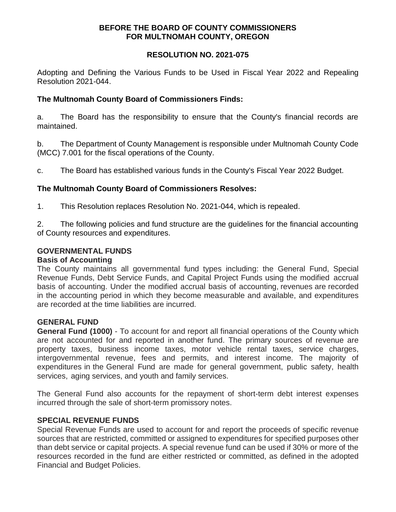## **BEFORE THE BOARD OF COUNTY COMMISSIONERS FOR MULTNOMAH COUNTY, OREGON**

## **RESOLUTION NO. 2021-075**

Adopting and Defining the Various Funds to be Used in Fiscal Year 2022 and Repealing Resolution 2021-044.

# **The Multnomah County Board of Commissioners Finds:**

a. The Board has the responsibility to ensure that the County's financial records are maintained.

b. The Department of County Management is responsible under Multnomah County Code (MCC) 7.001 for the fiscal operations of the County.

c. The Board has established various funds in the County's Fiscal Year 2022 Budget.

# **The Multnomah County Board of Commissioners Resolves:**

1. This Resolution replaces Resolution No. 2021-044, which is repealed.

2. The following policies and fund structure are the guidelines for the financial accounting of County resources and expenditures.

## **GOVERNMENTAL FUNDS**

## **Basis of Accounting**

The County maintains all governmental fund types including: the General Fund, Special Revenue Funds, Debt Service Funds, and Capital Project Funds using the modified accrual basis of accounting. Under the modified accrual basis of accounting, revenues are recorded in the accounting period in which they become measurable and available, and expenditures are recorded at the time liabilities are incurred.

## **GENERAL FUND**

**General Fund (1000)** - To account for and report all financial operations of the County which are not accounted for and reported in another fund. The primary sources of revenue are property taxes, business income taxes, motor vehicle rental taxes, service charges, intergovernmental revenue, fees and permits, and interest income. The majority of expenditures in the General Fund are made for general government, public safety, health services, aging services, and youth and family services.

The General Fund also accounts for the repayment of short-term debt interest expenses incurred through the sale of short-term promissory notes.

## **SPECIAL REVENUE FUNDS**

Special Revenue Funds are used to account for and report the proceeds of specific revenue sources that are restricted, committed or assigned to expenditures for specified purposes other than debt service or capital projects. A special revenue fund can be used if 30% or more of the resources recorded in the fund are either restricted or committed, as defined in the adopted Financial and Budget Policies.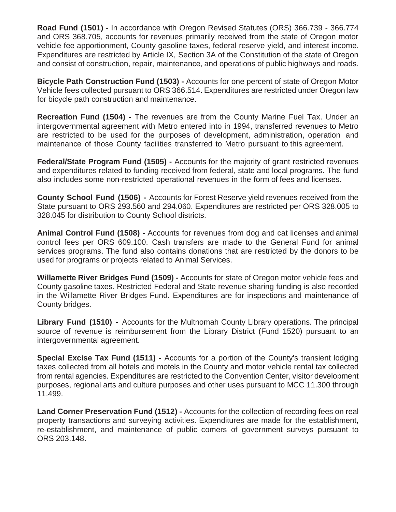**Road Fund (1501) -** In accordance with Oregon Revised Statutes (ORS) 366.739 - 366.774 and ORS 368.705, accounts for revenues primarily received from the state of Oregon motor vehicle fee apportionment, County gasoline taxes, federal reserve yield, and interest income. Expenditures are restricted by Article IX, Section 3A of the Constitution of the state of Oregon and consist of construction, repair, maintenance, and operations of public highways and roads.

**Bicycle Path Construction Fund (1503) -** Accounts for one percent of state of Oregon Motor Vehicle fees collected pursuant to ORS 366.514. Expenditures are restricted under Oregon law for bicycle path construction and maintenance.

**Recreation Fund (1504) -** The revenues are from the County Marine Fuel Tax. Under an intergovernmental agreement with Metro entered into in 1994, transferred revenues to Metro are restricted to be used for the purposes of development, administration, operation and maintenance of those County facilities transferred to Metro pursuant to this agreement.

**Federal/State Program Fund (1505) -** Accounts for the majority of grant restricted revenues and expenditures related to funding received from federal, state and local programs. The fund also includes some non-restricted operational revenues in the form of fees and licenses.

**County School Fund (1506) -** Accounts for Forest Reserve yield revenues received from the State pursuant to ORS 293.560 and 294.060. Expenditures are restricted per ORS 328.005 to 328.045 for distribution to County School districts.

**Animal Control Fund (1508) -** Accounts for revenues from dog and cat licenses and animal control fees per ORS 609.100. Cash transfers are made to the General Fund for animal services programs. The fund also contains donations that are restricted by the donors to be used for programs or projects related to Animal Services.

**Willamette River Bridges Fund (1509) -** Accounts for state of Oregon motor vehicle fees and County gasoline taxes. Restricted Federal and State revenue sharing funding is also recorded in the Willamette River Bridges Fund. Expenditures are for inspections and maintenance of County bridges.

**Library Fund (1510) -** Accounts for the Multnomah County Library operations. The principal source of revenue is reimbursement from the Library District (Fund 1520) pursuant to an intergovernmental agreement.

**Special Excise Tax Fund (1511) -** Accounts for a portion of the County's transient lodging taxes collected from all hotels and motels in the County and motor vehicle rental tax collected from rental agencies. Expenditures are restricted to the Convention Center, visitor development purposes, regional arts and culture purposes and other uses pursuant to MCC 11.300 through 11.499.

**Land Corner Preservation Fund (1512) -** Accounts for the collection of recording fees on real property transactions and surveying activities. Expenditures are made for the establishment, re-establishment, and maintenance of public comers of government surveys pursuant to ORS 203.148.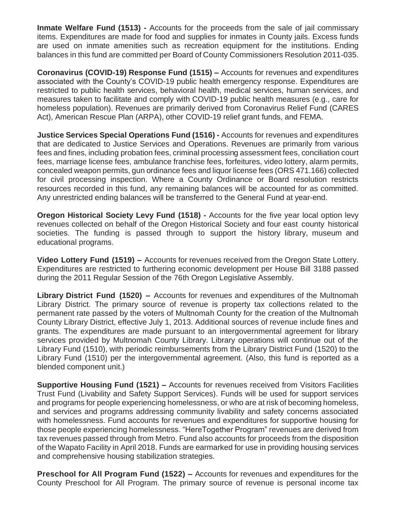**Inmate Welfare Fund (1513) -** Accounts for the proceeds from the sale of jail commissary items. Expenditures are made for food and supplies for inmates in County jails. Excess funds are used on inmate amenities such as recreation equipment for the institutions. Ending balances in this fund are committed per Board of County Commissioners Resolution 2011-035.

**Coronavirus (COVID-19) Response Fund (1515) –** Accounts for revenues and expenditures associated with the County's COVID-19 public health emergency response. Expenditures are restricted to public health services, behavioral health, medical services, human services, and measures taken to facilitate and comply with COVID-19 public health measures (e.g., care for homeless population). Revenues are primarily derived from Coronavirus Relief Fund (CARES Act), American Rescue Plan (ARPA), other COVID-19 relief grant funds, and FEMA.

**Justice Services Special Operations Fund (1516) -** Accounts for revenues and expenditures that are dedicated to Justice Services and Operations. Revenues are primarily from various fees and fines, including probation fees, criminal processing assessment fees, conciliation court fees, marriage license fees, ambulance franchise fees, forfeitures, video lottery, alarm permits, concealed weapon permits, gun ordinance fees and liquor license fees (ORS 471.166) collected for civil processing inspection. Where a County Ordinance or Board resolution restricts resources recorded in this fund, any remaining balances will be accounted for as committed. Any unrestricted ending balances will be transferred to the General Fund at year-end.

**Oregon Historical Society Levy Fund (1518) -** Accounts for the five year local option levy revenues collected on behalf of the Oregon Historical Society and four east county historical societies. The funding is passed through to support the history library, museum and educational programs.

**Video Lottery Fund (1519) –** Accounts for revenues received from the Oregon State Lottery. Expenditures are restricted to furthering economic development per House Bill 3188 passed during the 2011 Regular Session of the 76th Oregon Legislative Assembly.

**Library District Fund (1520) –** Accounts for revenues and expenditures of the Multnomah Library District. The primary source of revenue is property tax collections related to the permanent rate passed by the voters of Multnomah County for the creation of the Multnomah County Library District, effective July 1, 2013. Additional sources of revenue include fines and grants. The expenditures are made pursuant to an intergovernmental agreement for library services provided by Multnomah County Library. Library operations will continue out of the Library Fund (1510), with periodic reimbursements from the Library District Fund (1520) to the Library Fund (1510) per the intergovernmental agreement. (Also, this fund is reported as a blended component unit.)

**Supportive Housing Fund (1521) –** Accounts for revenues received from Visitors Facilities Trust Fund (Livability and Safety Support Services). Funds will be used for support services and programs for people experiencing homelessness, or who are at risk of becoming homeless, and services and programs addressing community livability and safety concerns associated with homelessness. Fund accounts for revenues and expenditures for supportive housing for those people experiencing homelessness. "HereTogether Program" revenues are derived from tax revenues passed through from Metro. Fund also accounts for proceeds from the disposition of the Wapato Facility in April 2018. Funds are earmarked for use in providing housing services and comprehensive housing stabilization strategies.

**Preschool for All Program Fund (1522) –** Accounts for revenues and expenditures for the County Preschool for All Program. The primary source of revenue is personal income tax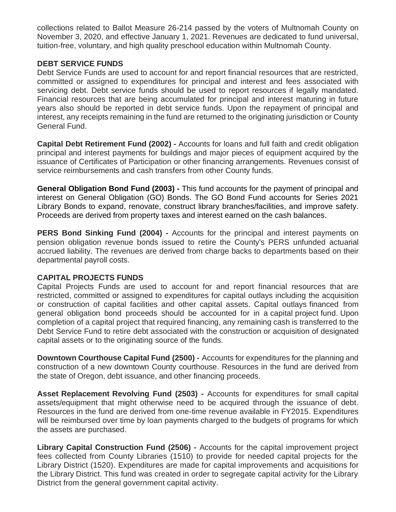collections related to Ballot Measure 26-214 passed by the voters of Multnomah County on November 3, 2020, and effective January 1, 2021. Revenues are dedicated to fund universal, tuition-free, voluntary, and high quality preschool education within Multnomah County.

## **DEBT SERVICE FUNDS**

Debt Service Funds are used to account for and report financial resources that are restricted, committed or assigned to expenditures for principal and interest and fees associated with servicing debt. Debt service funds should be used to report resources if legally mandated. Financial resources that are being accumulated for principal and interest maturing in future years also should be reported in debt service funds. Upon the repayment of principal and interest, any receipts remaining in the fund are returned to the originating jurisdiction or County General Fund.

**Capital Debt Retirement Fund (2002) -** Accounts for loans and full faith and credit obligation principal and interest payments for buildings and major pieces of equipment acquired by the issuance of Certificates of Participation or other financing arrangements. Revenues consist of service reimbursements and cash transfers from other County funds.

**General Obligation Bond Fund (2003) -** This fund accounts for the payment of principal and interest on General Obligation (GO) Bonds. The GO Bond Fund accounts for Series 2021 Library Bonds to expand, renovate, construct library branches/facilities, and improve safety. Proceeds are derived from property taxes and interest earned on the cash balances.

**PERS Bond Sinking Fund (2004) -** Accounts for the principal and interest payments on pension obligation revenue bonds issued to retire the County's PERS unfunded actuarial accrued liability. The revenues are derived from charge backs to departments based on their departmental payroll costs.

# **CAPITAL PROJECTS FUNDS**

Capital Projects Funds are used to account for and report financial resources that are restricted, committed or assigned to expenditures for capital outlays including the acquisition or construction of capital facilities and other capital assets. Capital outlays financed from general obligation bond proceeds should be accounted for in a capital project fund. Upon completion of a capital project that required financing, any remaining cash is transferred to the Debt Service Fund to retire debt associated with the construction or acquisition of designated capital assets or to the originating source of the funds.

**Downtown Courthouse Capital Fund (2500) -** Accounts for expenditures for the planning and construction of a new downtown County courthouse. Resources in the fund are derived from the state of Oregon, debt issuance, and other financing proceeds.

**Asset Replacement Revolving Fund (2503) -** Accounts for expenditures for small capital assets/equipment that might otherwise need to be acquired through the issuance of debt. Resources in the fund are derived from one-time revenue available in FY2015. Expenditures will be reimbursed over time by loan payments charged to the budgets of programs for which the assets are purchased.

**Library Capital Construction Fund (2506) -** Accounts for the capital improvement project fees collected from County Libraries (1510) to provide for needed capital projects for the Library District (1520). Expenditures are made for capital improvements and acquisitions for the Library District. This fund was created in order to segregate capital activity for the Library District from the general government capital activity.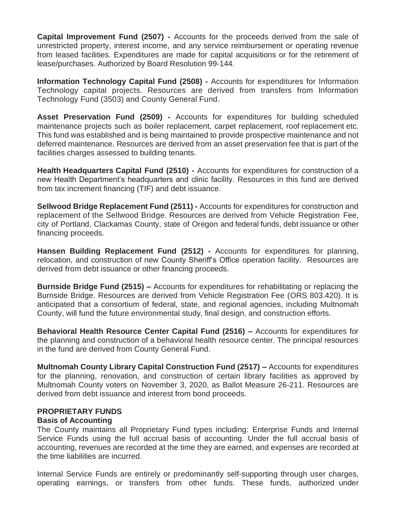**Capital Improvement Fund (2507) -** Accounts for the proceeds derived from the sale of unrestricted property, interest income, and any service reimbursement or operating revenue from leased facilities. Expenditures are made for capital acquisitions or for the retirement of lease/purchases. Authorized by Board Resolution 99-144.

**Information Technology Capital Fund (2508) -** Accounts for expenditures for Information Technology capital projects. Resources are derived from transfers from Information Technology Fund (3503) and County General Fund.

**Asset Preservation Fund (2509) -** Accounts for expenditures for building scheduled maintenance projects such as boiler replacement, carpet replacement, roof replacement etc. This fund was established and is being maintained to provide prospective maintenance and not deferred maintenance. Resources are derived from an asset preservation fee that is part of the facilities charges assessed to building tenants.

**Health Headquarters Capital Fund (2510) -** Accounts for expenditures for construction of a new Health Department's headquarters and clinic facility. Resources in this fund are derived from tax increment financing (TIF) and debt issuance.

**Sellwood Bridge Replacement Fund (2511) -** Accounts for expenditures for construction and replacement of the Sellwood Bridge. Resources are derived from Vehicle Registration Fee, city of Portland, Clackamas County, state of Oregon and federal funds, debt issuance or other financing proceeds.

**Hansen Building Replacement Fund (2512) -** Accounts for expenditures for planning, relocation, and construction of new County Sheriff's Office operation facility. Resources are derived from debt issuance or other financing proceeds.

**Burnside Bridge Fund (2515) –** Accounts for expenditures for rehabilitating or replacing the Burnside Bridge. Resources are derived from Vehicle Registration Fee (ORS 803.420). It is anticipated that a consortium of federal, state, and regional agencies, including Multnomah County, will fund the future environmental study, final design, and construction efforts.

**Behavioral Health Resource Center Capital Fund (2516) –** Accounts for expenditures for the planning and construction of a behavioral health resource center. The principal resources in the fund are derived from County General Fund.

**Multnomah County Library Capital Construction Fund (2517) –** Accounts for expenditures for the planning, renovation, and construction of certain library facilities as approved by Multnomah County voters on November 3, 2020, as Ballot Measure 26-211. Resources are derived from debt issuance and interest from bond proceeds.

## **PROPRIETARY FUNDS**

## **Basis of Accounting**

The County maintains all Proprietary Fund types including: Enterprise Funds and Internal Service Funds using the full accrual basis of accounting. Under the full accrual basis of accounting, revenues are recorded at the time they are earned, and expenses are recorded at the time liabilities are incurred.

Internal Service Funds are entirely or predominantly self-supporting through user charges, operating earnings, or transfers from other funds. These funds, authorized under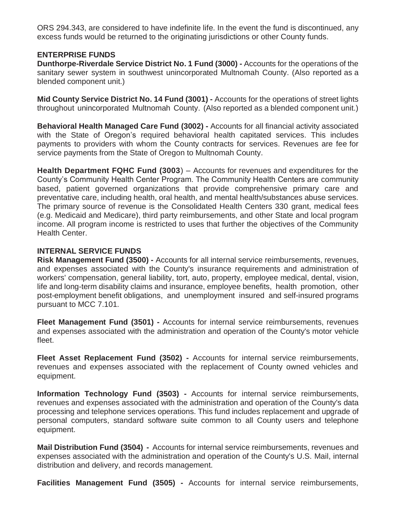ORS 294.343, are considered to have indefinite life. In the event the fund is discontinued, any excess funds would be returned to the originating jurisdictions or other County funds.

# **ENTERPRISE FUNDS**

**Dunthorpe-Riverdale Service District No. 1 Fund (3000) -** Accounts for the operations of the sanitary sewer system in southwest unincorporated Multnomah County. (Also reported as a blended component unit.)

**Mid County Service District No. 14 Fund (3001) -** Accounts for the operations of street lights throughout unincorporated Multnomah County. (Also reported as a blended component unit.)

**Behavioral Health Managed Care Fund (3002) -** Accounts for all financial activity associated with the State of Oregon's required behavioral health capitated services. This includes payments to providers with whom the County contracts for services. Revenues are fee for service payments from the State of Oregon to Multnomah County.

**Health Department FQHC Fund (3003**) – Accounts for revenues and expenditures for the County's Community Health Center Program. The Community Health Centers are community based, patient governed organizations that provide comprehensive primary care and preventative care, including health, oral health, and mental health/substances abuse services. The primary source of revenue is the Consolidated Health Centers 330 grant, medical fees (e.g. Medicaid and Medicare), third party reimbursements, and other State and local program income. All program income is restricted to uses that further the objectives of the Community Health Center.

# **INTERNAL SERVICE FUNDS**

**Risk Management Fund (3500) -** Accounts for all internal service reimbursements, revenues, and expenses associated with the County's insurance requirements and administration of workers' compensation, general liability, tort, auto, property, employee medical, dental, vision, life and long-term disability claims and insurance, employee benefits, health promotion, other post-employment benefit obligations, and unemployment insured and self-insured programs pursuant to MCC 7.101.

**Fleet Management Fund (3501) -** Accounts for internal service reimbursements, revenues and expenses associated with the administration and operation of the County's motor vehicle fleet.

**Fleet Asset Replacement Fund (3502) -** Accounts for internal service reimbursements, revenues and expenses associated with the replacement of County owned vehicles and equipment.

**Information Technology Fund (3503) -** Accounts for internal service reimbursements, revenues and expenses associated with the administration and operation of the County's data processing and telephone services operations. This fund includes replacement and upgrade of personal computers, standard software suite common to all County users and telephone equipment.

**Mail Distribution Fund (3504) -** Accounts for internal service reimbursements, revenues and expenses associated with the administration and operation of the County's U.S. Mail, internal distribution and delivery, and records management.

**Facilities Management Fund (3505) -** Accounts for internal service reimbursements,